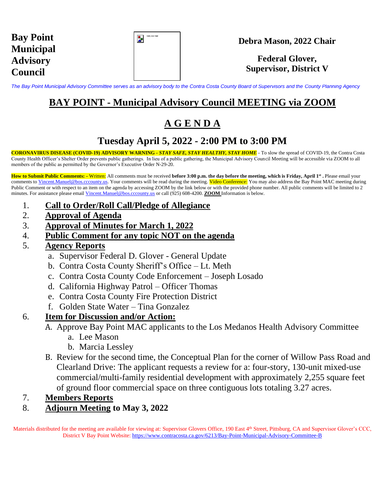| <b>Bay Point</b> |
|------------------|
| <b>Municipal</b> |
| <b>Advisory</b>  |
| <b>Council</b>   |

| Gold_Color Seal |  |
|-----------------|--|
|                 |  |
|                 |  |
|                 |  |

#### **Debra Mason, 2022 Chair**

#### **Federal Glover, Supervisor, District V**

*The Bay Point Municipal Advisory Committee serves as an advisory body to the Contra Costa County Board of Supervisors and the County Planning Agency*

## **BAY POINT - Municipal Advisory Council MEETING via ZOOM**

# **A G E N D A**

### **Tuesday April 5, 2022 - 2:00 PM to 3:00 PM**

**CORONAVIRUS DISEASE (COVID-19) ADVISORY WARNING -** *STAY SAFE, STAY HEALTHY, STAY HOME* - To slow the spread of COVID-19, the Contra Costa County Health Officer's Shelter Order prevents public gatherings. In lieu of a public gathering, the Municipal Advisory Council Meeting will be accessible via ZOOM to all members of the public as permitted by the Governor's Executive Order N-29-20.

**How to Submit Public Comments: -** Written: All comments must be received **before 3:00 p.m. the day before the meeting, which is Friday, April 1st .** Please email your comments to Vincent. Manuel@bos.cccounty.us. Your comments will be read during the meeting. Video Conference: You may also address the Bay Point MAC meeting during Public Comment or with respect to an item on the agenda by accessing ZOOM by the link below or with the provided phone number. All public comments will be limited to 2 minutes. For assistance please email [Vincent.Manuel@bos.cccounty.us](mailto:Vincent.Manuel@bos.cccounty.us) or call (925) 608-4200. **ZOOM** Information is below.

- 1. **Call to Order/Roll Call/Pledge of Allegiance**
- 2. **Approval of Agenda**
- 3. **Approval of Minutes for March 1, 2022**
- 4. **Public Comment for any topic NOT on the agenda**
- 5. **Agency Reports**
	- a. Supervisor Federal D. Glover General Update
	- b. Contra Costa County Sheriff's Office Lt. Meth
	- c. Contra Costa County Code Enforcement Joseph Losado
	- d. California Highway Patrol Officer Thomas
	- e. Contra Costa County Fire Protection District
	- f. Golden State Water Tina Gonzalez

#### 6. **Item for Discussion and/or Action:**

- A. Approve Bay Point MAC applicants to the Los Medanos Health Advisory Committee
	- a. Lee Mason
	- b. Marcia Lessley
- B. Review for the second time, the Conceptual Plan for the corner of Willow Pass Road and Clearland Drive: The applicant requests a review for a: four-story, 130-unit mixed-use commercial/multi-family residential development with approximately 2,255 square feet of ground floor commercial space on three contiguous lots totaling 3.27 acres.

#### 7. **Members Reports**

#### 8. **Adjourn Meeting to May 3, 2022**

Materials distributed for the meeting are available for viewing at: Supervisor Glovers Office, 190 East 4th Street, Pittsburg, CA and Supervisor Glover's CCC, District V Bay Point Website: <https://www.contracosta.ca.gov/6213/Bay-Point-Municipal-Advisory-Committee-B>